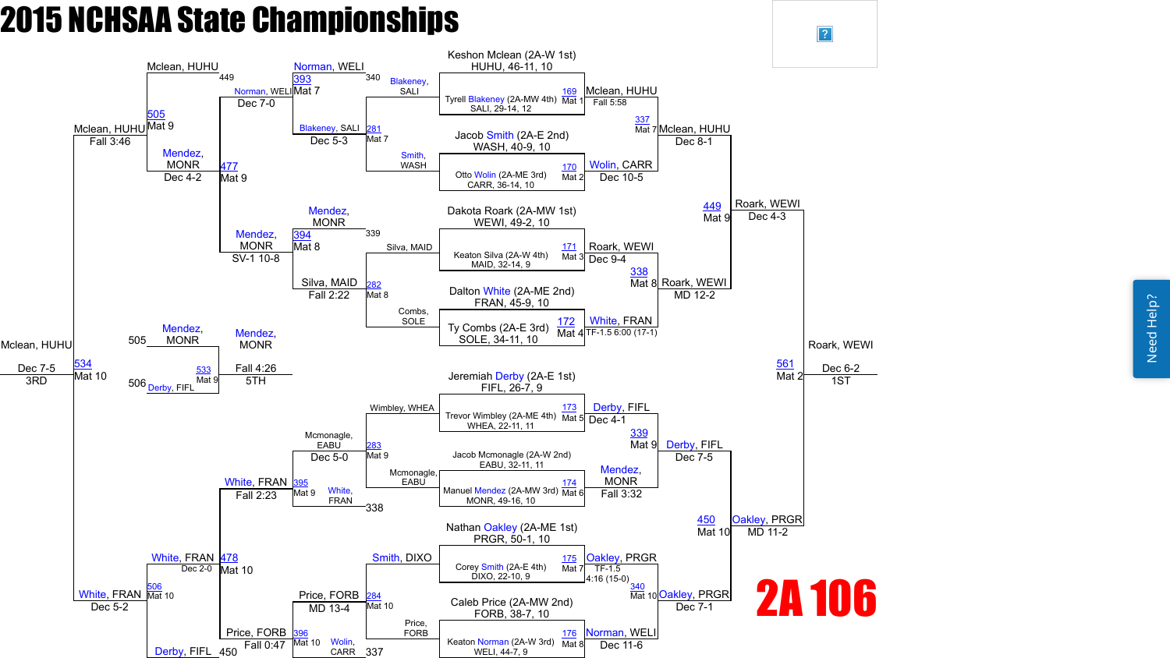

 $\boxed{?}$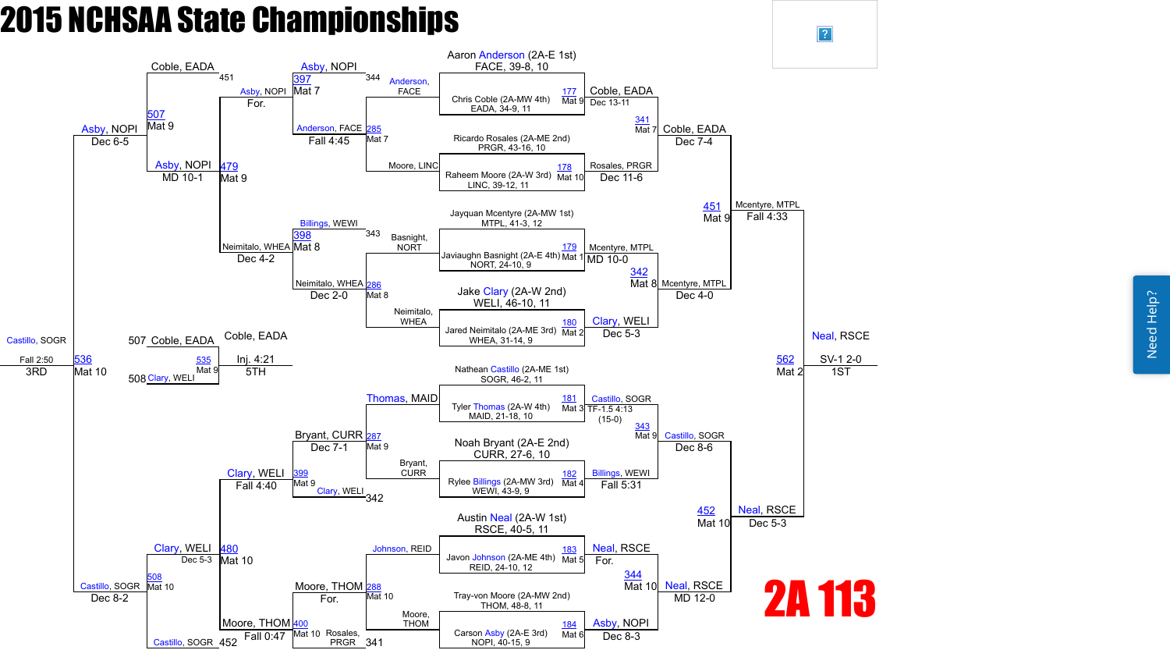Need Help? Need Help?



 $\sqrt{?}$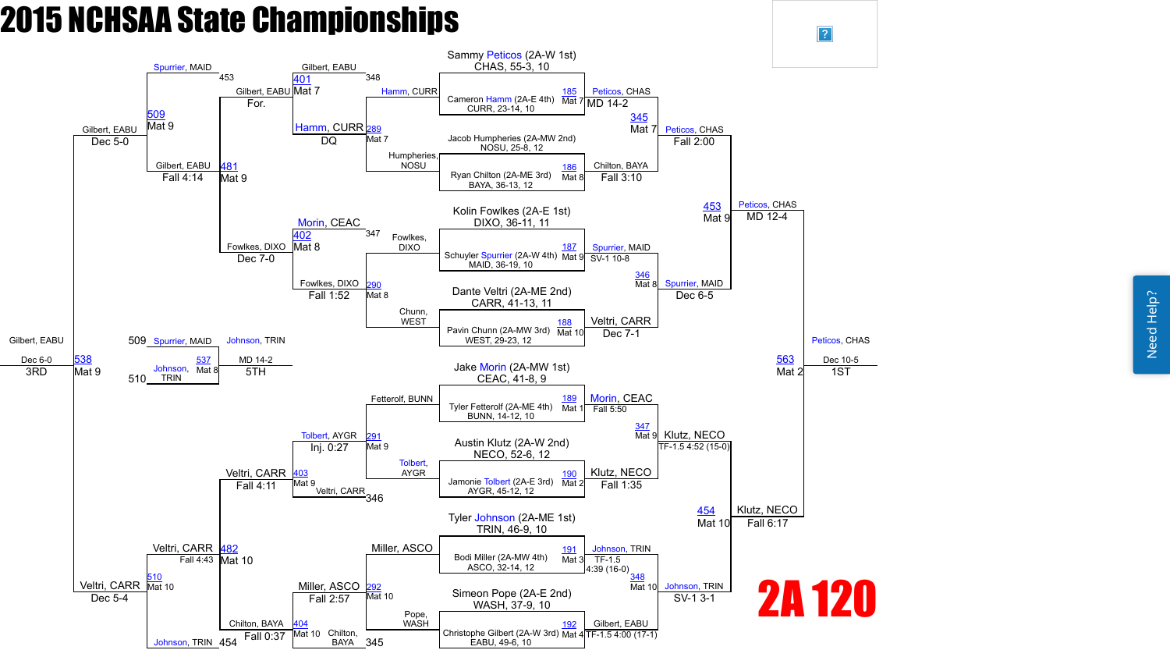

 $\vert$ ?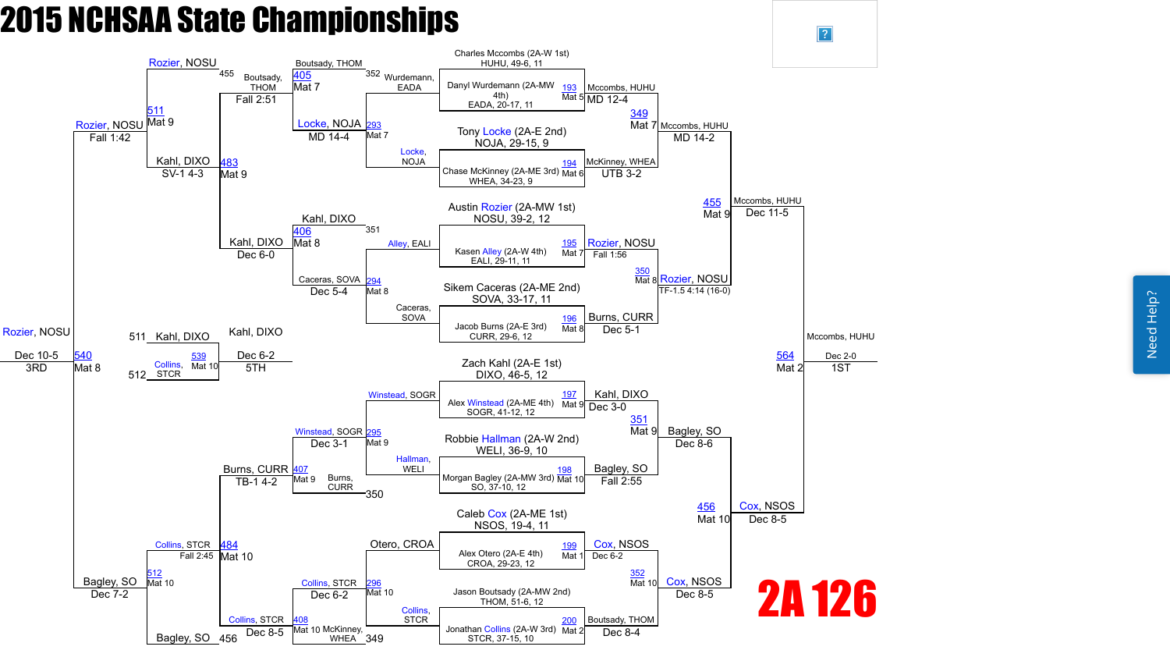Need Help? Need Help?

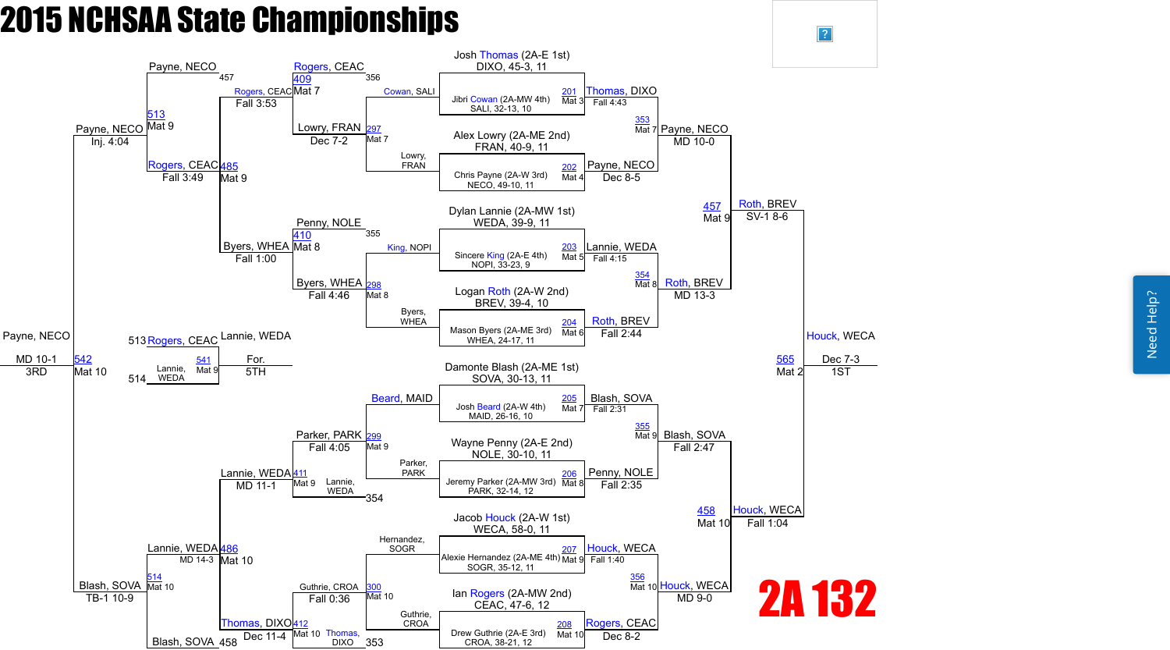

 $\sqrt{?}$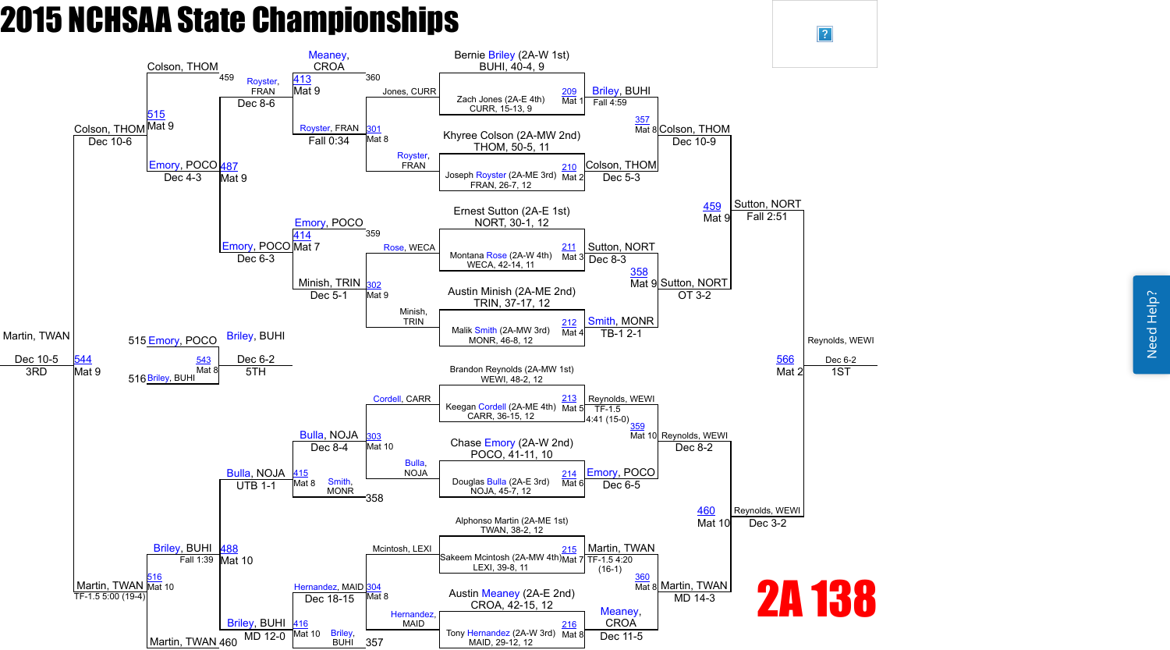Need Help? Need Help?

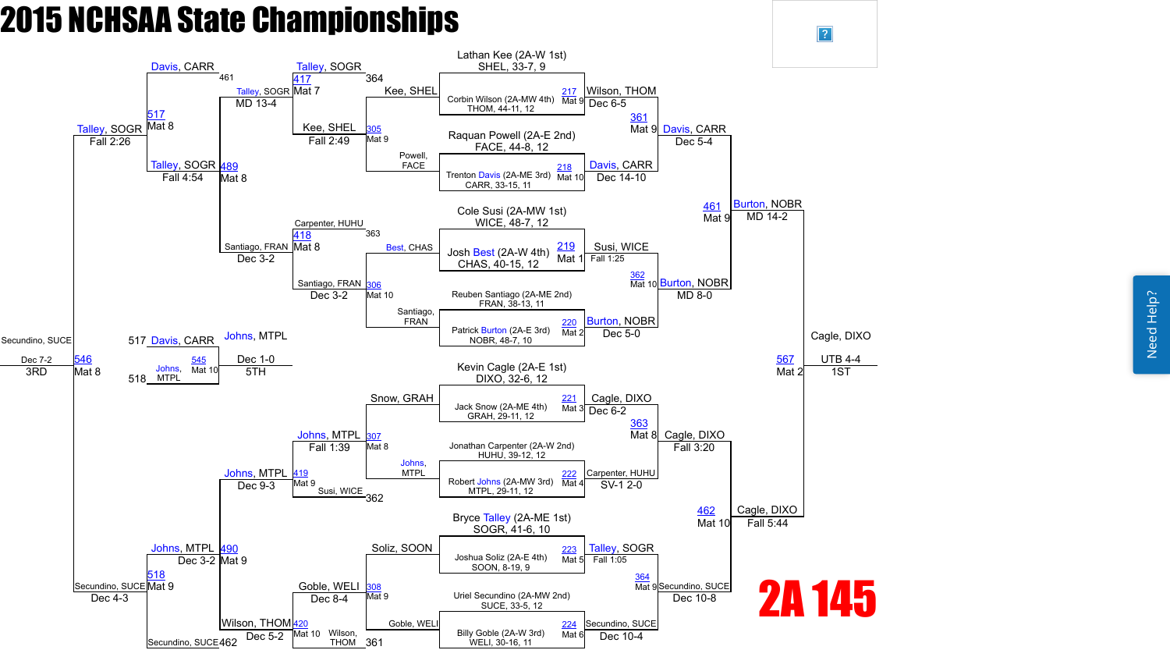Need Help? Need Help?

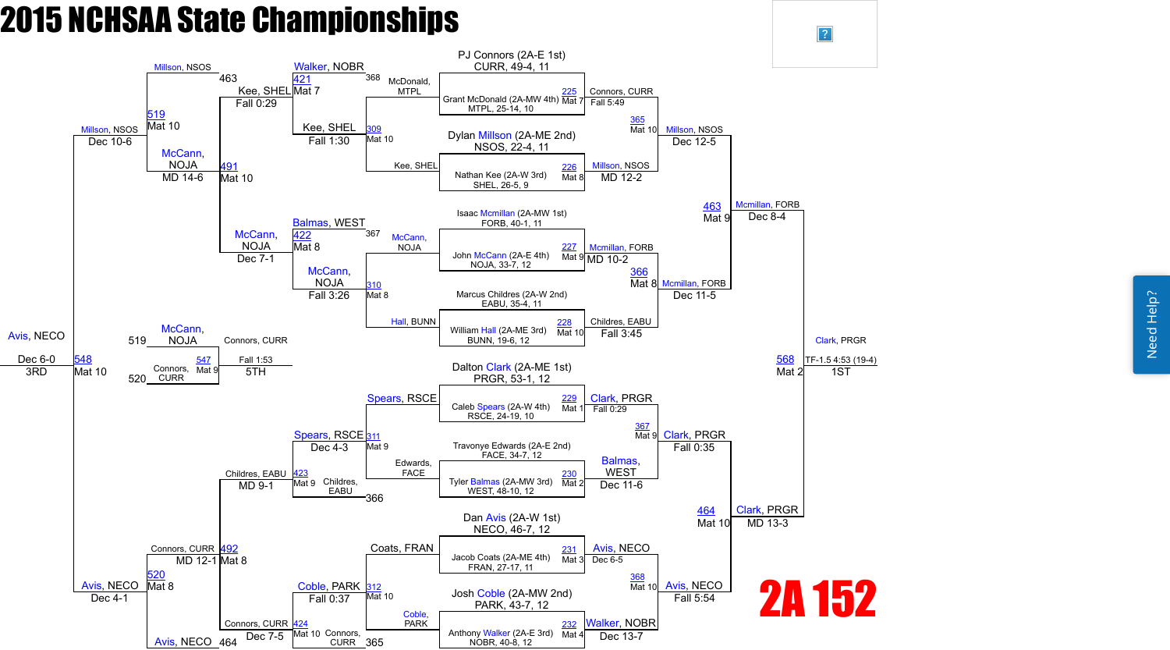

 $\sqrt{?}$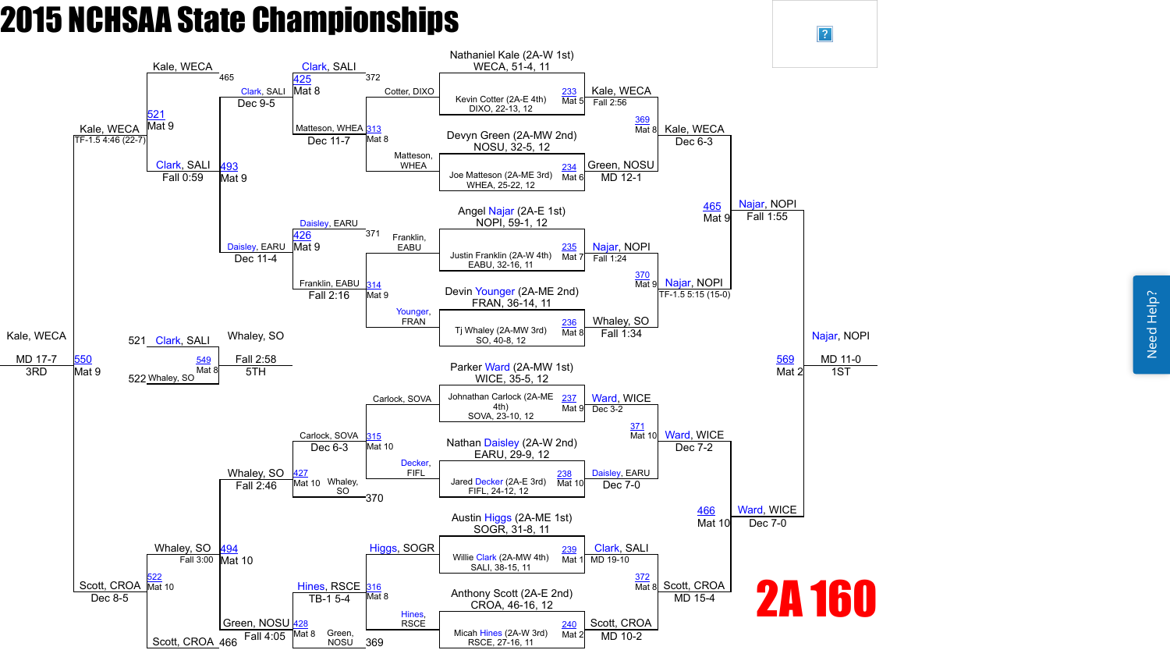Need Help? Need Help?



 $\sqrt{?}$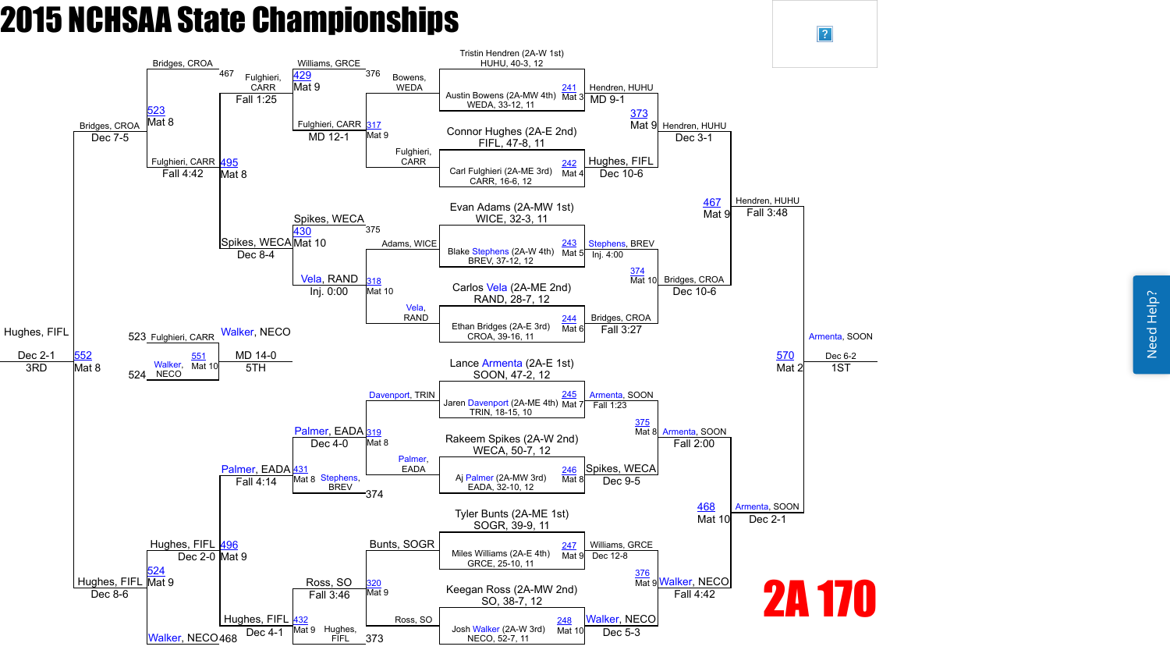Need Help? Need Help?

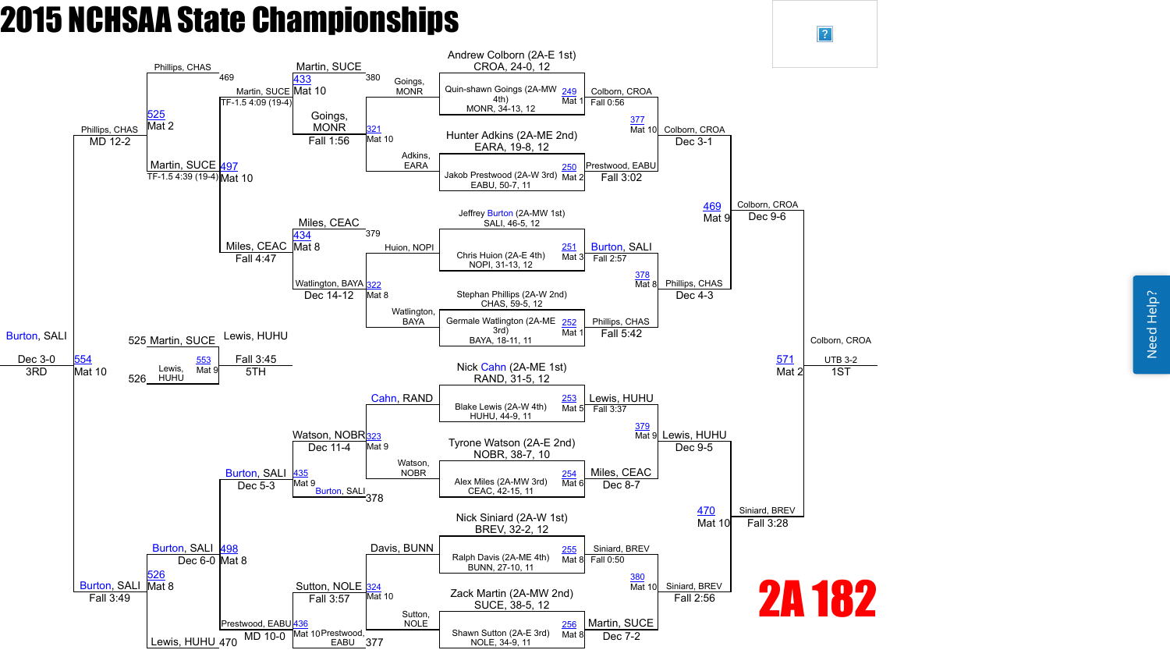Need Help? Need Help?

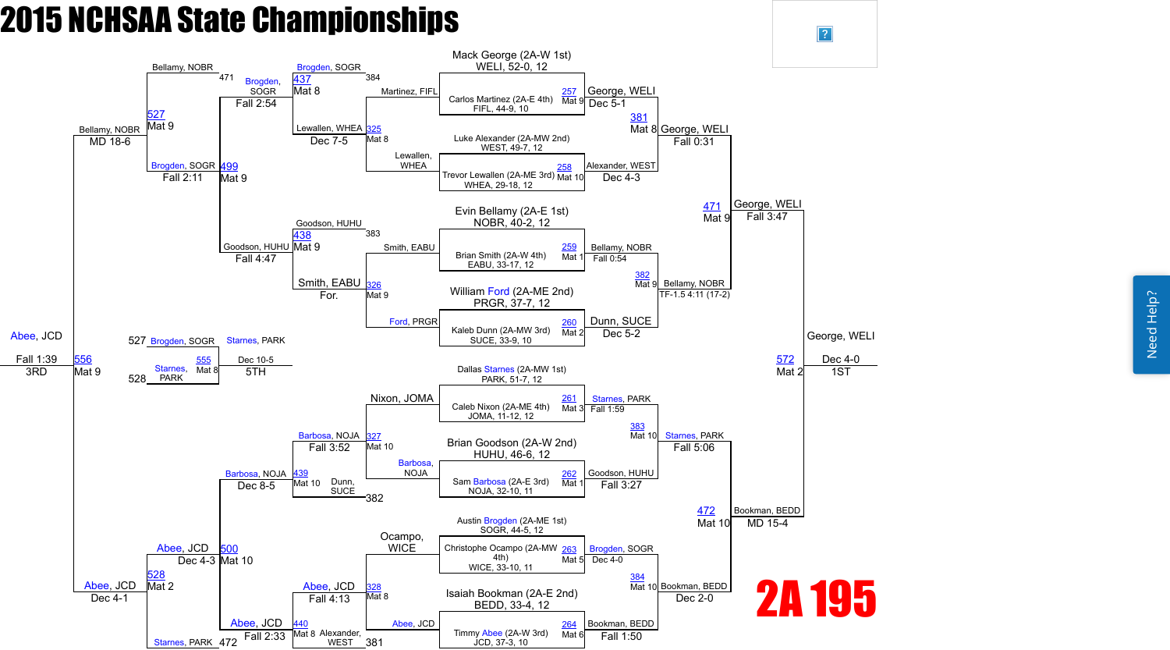Need Help? Need Help?

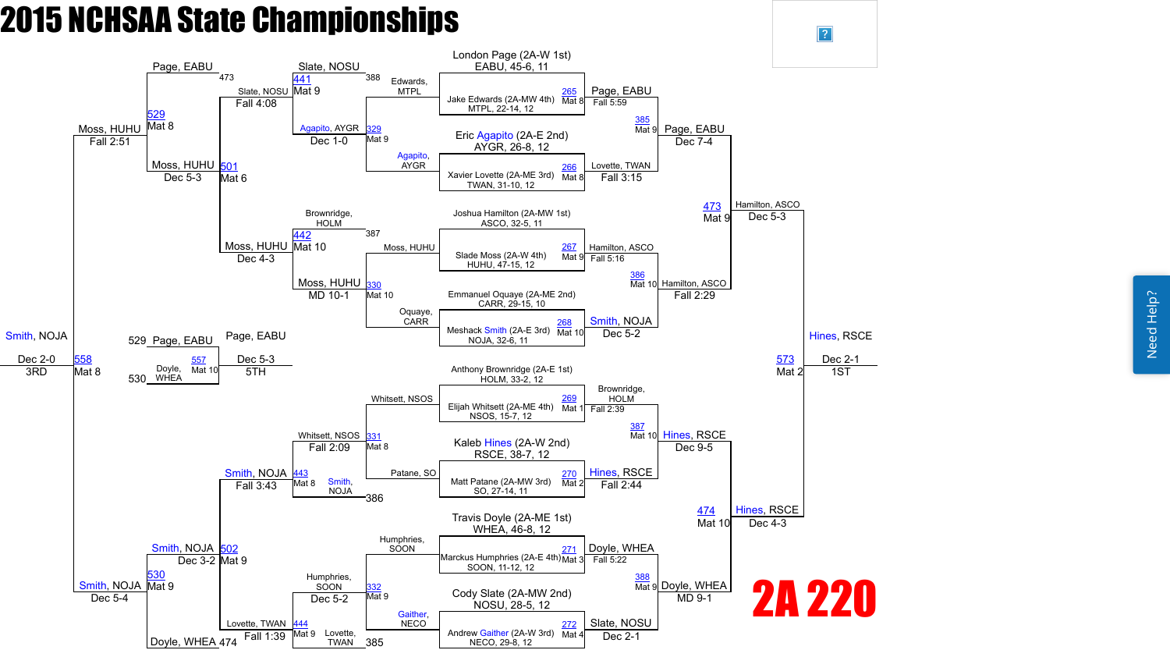

 $\vert$ ?